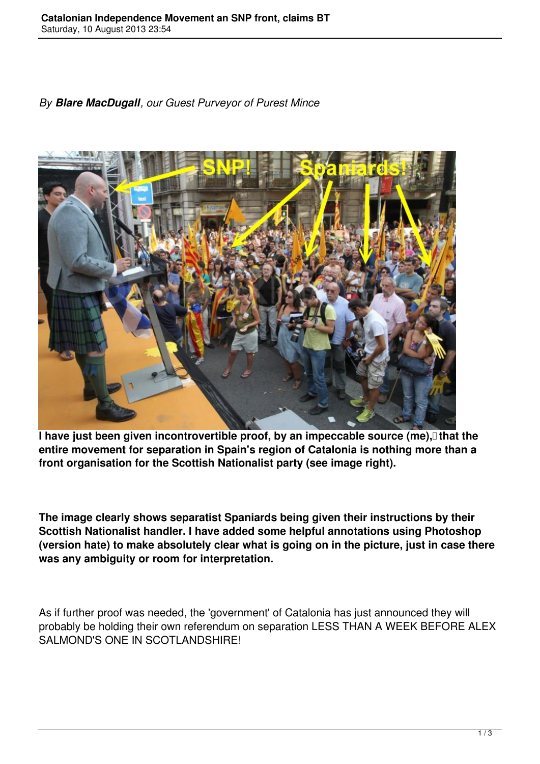## *By Blare MacDugall, our Guest Purveyor of Purest Mince*



**I have just been given incontrovertible proof, by an impeccable source (me), that the entire movement for separation in Spain's region of Catalonia is nothing more than a front organisation for the Scottish Nationalist party (see image right).**

**The image clearly shows separatist Spaniards being given their instructions by their Scottish Nationalist handler. I have added some helpful annotations using Photoshop (version hate) to make absolutely clear what is going on in the picture, just in case there was any ambiguity or room for interpretation.**

As if further proof was needed, the 'government' of Catalonia has just announced they will probably be holding their own referendum on separation LESS THAN A WEEK BEFORE ALEX SALMOND'S ONE IN SCOTLANDSHIRE!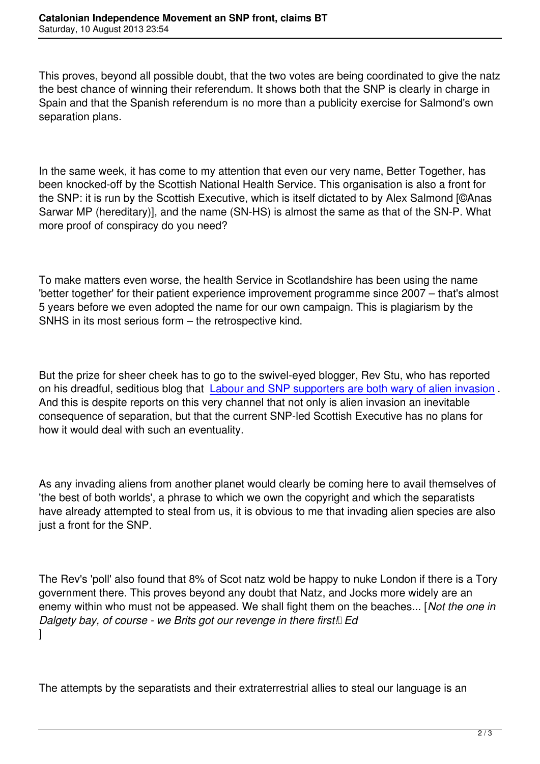This proves, beyond all possible doubt, that the two votes are being coordinated to give the natz the best chance of winning their referendum. It shows both that the SNP is clearly in charge in Spain and that the Spanish referendum is no more than a publicity exercise for Salmond's own separation plans.

In the same week, it has come to my attention that even our very name, Better Together, has been knocked-off by the Scottish National Health Service. This organisation is also a front for the SNP: it is run by the Scottish Executive, which is itself dictated to by Alex Salmond [©Anas Sarwar MP (hereditary)], and the name (SN-HS) is almost the same as that of the SN-P. What more proof of conspiracy do you need?

To make matters even worse, the health Service in Scotlandshire has been using the name 'better together' for their patient experience improvement programme since 2007 – that's almost 5 years before we even adopted the name for our own campaign. This is plagiarism by the SNHS in its most serious form – the retrospective kind.

But the prize for sheer cheek has to go to the swivel-eyed blogger, Rev Stu, who has reported on his dreadful, seditious blog that Labour and SNP supporters are both wary of alien invasion . And this is despite reports on this very channel that not only is alien invasion an inevitable consequence of separation, but that the current SNP-led Scottish Executive has no plans for how it would deal with such an eve[ntuality.](http://wingsoverscotland.com/data-mining-2/)

As any invading aliens from another planet would clearly be coming here to avail themselves of 'the best of both worlds', a phrase to which we own the copyright and which the separatists have already attempted to steal from us, it is obvious to me that invading alien species are also just a front for the SNP.

The Rev's 'poll' also found that 8% of Scot natz wold be happy to nuke London if there is a Tory government there. This proves beyond any doubt that Natz, and Jocks more widely are an enemy within who must not be appeased. We shall fight them on the beaches... [*Not the one in Dalgety bay, of course - we Brits got our revenge in there first! Ed* ]

The attempts by the separatists and their extraterrestrial allies to steal our language is an